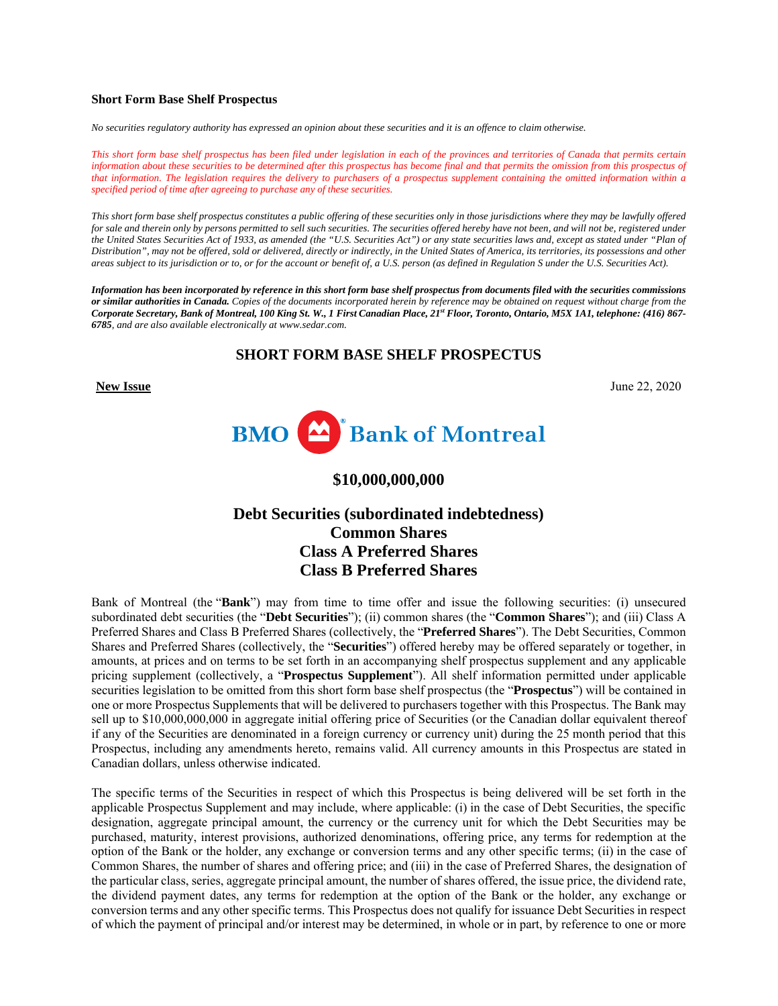## **Short Form Base Shelf Prospectus**

*No securities regulatory authority has expressed an opinion about these securities and it is an offence to claim otherwise.* 

*This short form base shelf prospectus has been filed under legislation in each of the provinces and territories of Canada that permits certain*  information about these securities to be determined after this prospectus has become final and that permits the omission from this prospectus of *that information. The legislation requires the delivery to purchasers of a prospectus supplement containing the omitted information within a specified period of time after agreeing to purchase any of these securities.*

*This short form base shelf prospectus constitutes a public offering of these securities only in those jurisdictions where they may be lawfully offered for sale and therein only by persons permitted to sell such securities. The securities offered hereby have not been, and will not be, registered under the United States Securities Act of 1933, as amended (the "U.S. Securities Act") or any state securities laws and, except as stated under "Plan of Distribution", may not be offered, sold or delivered, directly or indirectly, in the United States of America, its territories, its possessions and other areas subject to its jurisdiction or to, or for the account or benefit of, a U.S. person (as defined in Regulation S under the U.S. Securities Act).* 

*Information has been incorporated by reference in this short form base shelf prospectus from documents filed with the securities commissions or similar authorities in Canada. Copies of the documents incorporated herein by reference may be obtained on request without charge from the Corporate Secretary, Bank of Montreal, 100 King St. W., 1 First Canadian Place, 21st Floor, Toronto, Ontario, M5X 1A1, telephone: (416) 867- 6785, and are also available electronically at www.sedar.com.* 

# **SHORT FORM BASE SHELF PROSPECTUS**

**New Issue** June 22, 2020



**\$10,000,000,000** 

# **Debt Securities (subordinated indebtedness) Common Shares Class A Preferred Shares Class B Preferred Shares**

Bank of Montreal (the "**Bank**") may from time to time offer and issue the following securities: (i) unsecured subordinated debt securities (the "**Debt Securities**"); (ii) common shares (the "**Common Shares**"); and (iii) Class A Preferred Shares and Class B Preferred Shares (collectively, the "**Preferred Shares**"). The Debt Securities, Common Shares and Preferred Shares (collectively, the "**Securities**") offered hereby may be offered separately or together, in amounts, at prices and on terms to be set forth in an accompanying shelf prospectus supplement and any applicable pricing supplement (collectively, a "**Prospectus Supplement**"). All shelf information permitted under applicable securities legislation to be omitted from this short form base shelf prospectus (the "**Prospectus**") will be contained in one or more Prospectus Supplements that will be delivered to purchasers together with this Prospectus. The Bank may sell up to \$10,000,000,000 in aggregate initial offering price of Securities (or the Canadian dollar equivalent thereof if any of the Securities are denominated in a foreign currency or currency unit) during the 25 month period that this Prospectus, including any amendments hereto, remains valid. All currency amounts in this Prospectus are stated in Canadian dollars, unless otherwise indicated.

The specific terms of the Securities in respect of which this Prospectus is being delivered will be set forth in the applicable Prospectus Supplement and may include, where applicable: (i) in the case of Debt Securities, the specific designation, aggregate principal amount, the currency or the currency unit for which the Debt Securities may be purchased, maturity, interest provisions, authorized denominations, offering price, any terms for redemption at the option of the Bank or the holder, any exchange or conversion terms and any other specific terms; (ii) in the case of Common Shares, the number of shares and offering price; and (iii) in the case of Preferred Shares, the designation of the particular class, series, aggregate principal amount, the number of shares offered, the issue price, the dividend rate, the dividend payment dates, any terms for redemption at the option of the Bank or the holder, any exchange or conversion terms and any other specific terms. This Prospectus does not qualify for issuance Debt Securities in respect of which the payment of principal and/or interest may be determined, in whole or in part, by reference to one or more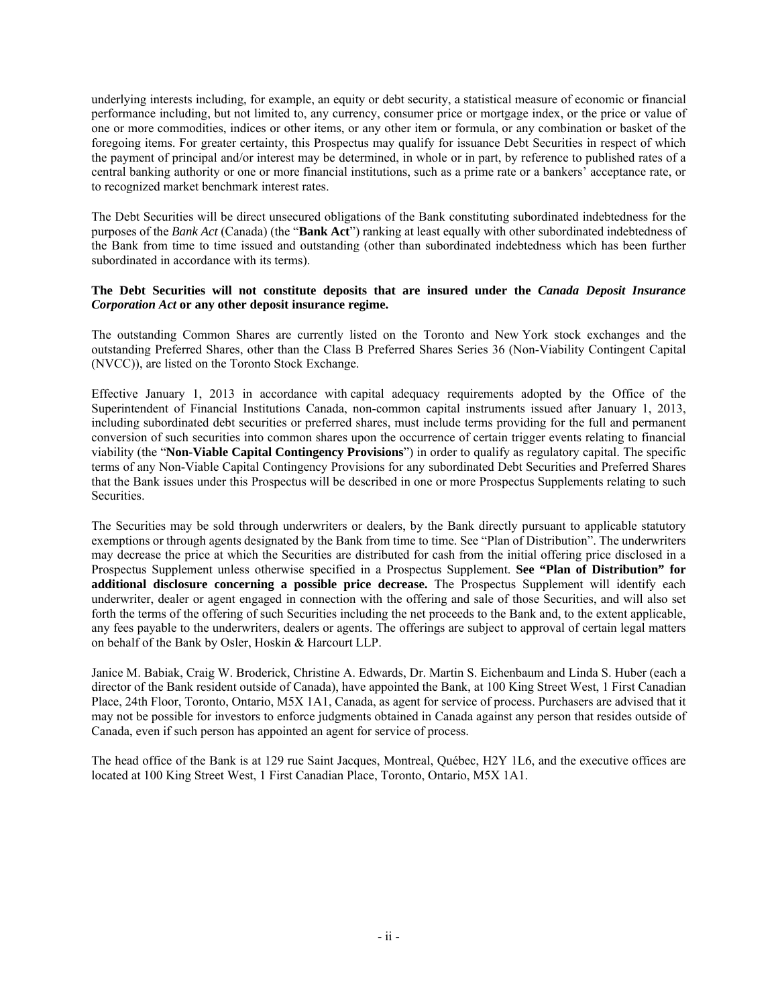underlying interests including, for example, an equity or debt security, a statistical measure of economic or financial performance including, but not limited to, any currency, consumer price or mortgage index, or the price or value of one or more commodities, indices or other items, or any other item or formula, or any combination or basket of the foregoing items. For greater certainty, this Prospectus may qualify for issuance Debt Securities in respect of which the payment of principal and/or interest may be determined, in whole or in part, by reference to published rates of a central banking authority or one or more financial institutions, such as a prime rate or a bankers' acceptance rate, or to recognized market benchmark interest rates.

The Debt Securities will be direct unsecured obligations of the Bank constituting subordinated indebtedness for the purposes of the *Bank Act* (Canada) (the "**Bank Act**") ranking at least equally with other subordinated indebtedness of the Bank from time to time issued and outstanding (other than subordinated indebtedness which has been further subordinated in accordance with its terms).

## **The Debt Securities will not constitute deposits that are insured under the** *Canada Deposit Insurance Corporation Act* **or any other deposit insurance regime.**

The outstanding Common Shares are currently listed on the Toronto and New York stock exchanges and the outstanding Preferred Shares, other than the Class B Preferred Shares Series 36 (Non-Viability Contingent Capital (NVCC)), are listed on the Toronto Stock Exchange.

Effective January 1, 2013 in accordance with capital adequacy requirements adopted by the Office of the Superintendent of Financial Institutions Canada, non-common capital instruments issued after January 1, 2013, including subordinated debt securities or preferred shares, must include terms providing for the full and permanent conversion of such securities into common shares upon the occurrence of certain trigger events relating to financial viability (the "**Non-Viable Capital Contingency Provisions**") in order to qualify as regulatory capital. The specific terms of any Non-Viable Capital Contingency Provisions for any subordinated Debt Securities and Preferred Shares that the Bank issues under this Prospectus will be described in one or more Prospectus Supplements relating to such Securities.

The Securities may be sold through underwriters or dealers, by the Bank directly pursuant to applicable statutory exemptions or through agents designated by the Bank from time to time. See "Plan of Distribution". The underwriters may decrease the price at which the Securities are distributed for cash from the initial offering price disclosed in a Prospectus Supplement unless otherwise specified in a Prospectus Supplement. **See "Plan of Distribution" for additional disclosure concerning a possible price decrease.** The Prospectus Supplement will identify each underwriter, dealer or agent engaged in connection with the offering and sale of those Securities, and will also set forth the terms of the offering of such Securities including the net proceeds to the Bank and, to the extent applicable, any fees payable to the underwriters, dealers or agents. The offerings are subject to approval of certain legal matters on behalf of the Bank by Osler, Hoskin & Harcourt LLP.

Janice M. Babiak, Craig W. Broderick, Christine A. Edwards, Dr. Martin S. Eichenbaum and Linda S. Huber (each a director of the Bank resident outside of Canada), have appointed the Bank, at 100 King Street West, 1 First Canadian Place, 24th Floor, Toronto, Ontario, M5X 1A1, Canada, as agent for service of process. Purchasers are advised that it may not be possible for investors to enforce judgments obtained in Canada against any person that resides outside of Canada, even if such person has appointed an agent for service of process.

The head office of the Bank is at 129 rue Saint Jacques, Montreal, Québec, H2Y 1L6, and the executive offices are located at 100 King Street West, 1 First Canadian Place, Toronto, Ontario, M5X 1A1.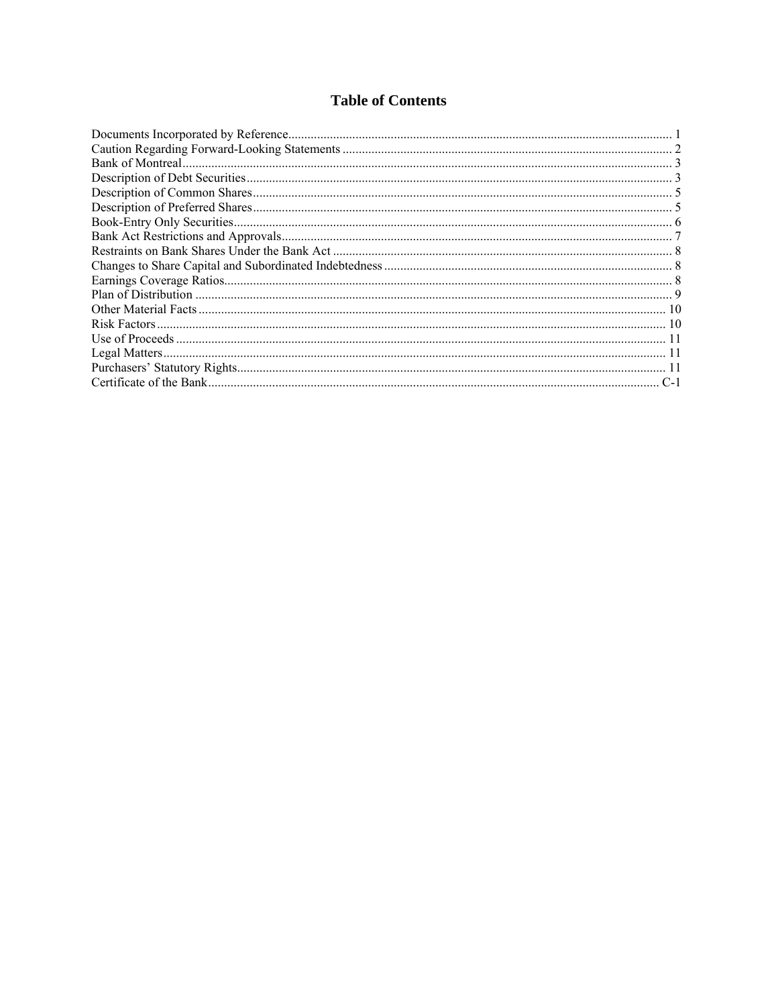# **Table of Contents**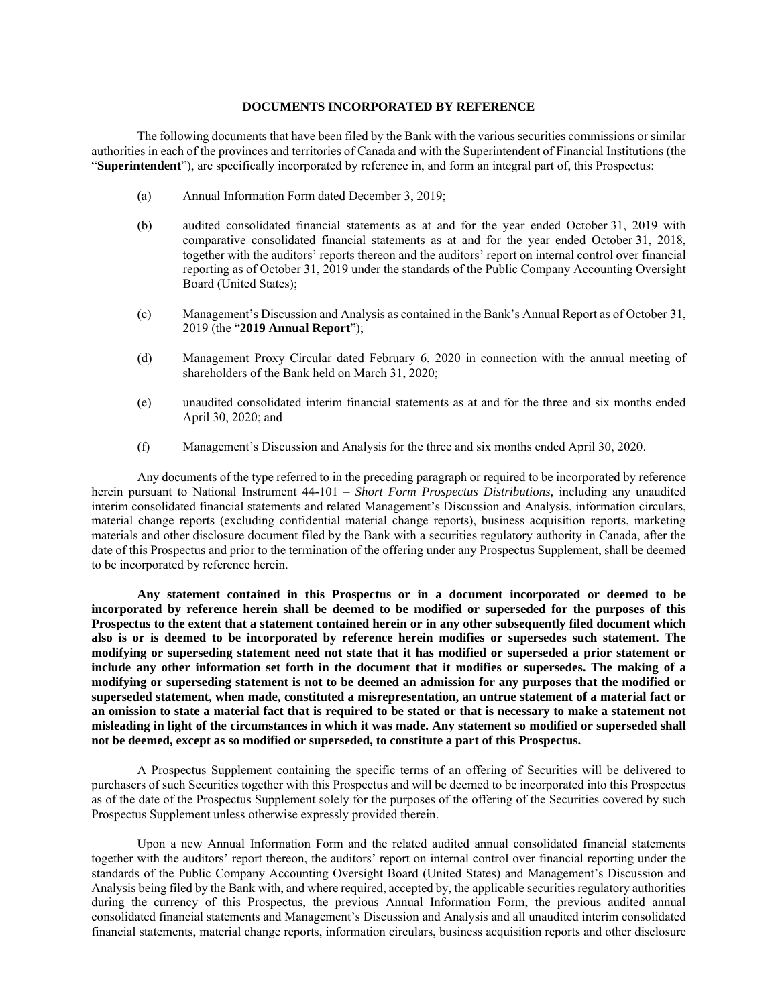#### **DOCUMENTS INCORPORATED BY REFERENCE**

The following documents that have been filed by the Bank with the various securities commissions or similar authorities in each of the provinces and territories of Canada and with the Superintendent of Financial Institutions (the "**Superintendent**"), are specifically incorporated by reference in, and form an integral part of, this Prospectus:

- (a) Annual Information Form dated December 3, 2019;
- (b) audited consolidated financial statements as at and for the year ended October 31, 2019 with comparative consolidated financial statements as at and for the year ended October 31, 2018, together with the auditors' reports thereon and the auditors' report on internal control over financial reporting as of October 31, 2019 under the standards of the Public Company Accounting Oversight Board (United States);
- (c) Management's Discussion and Analysis as contained in the Bank's Annual Report as of October 31, 2019 (the "**2019 Annual Report**");
- (d) Management Proxy Circular dated February 6, 2020 in connection with the annual meeting of shareholders of the Bank held on March 31, 2020;
- (e) unaudited consolidated interim financial statements as at and for the three and six months ended April 30, 2020; and
- (f) Management's Discussion and Analysis for the three and six months ended April 30, 2020.

Any documents of the type referred to in the preceding paragraph or required to be incorporated by reference herein pursuant to National Instrument 44-101 – *Short Form Prospectus Distributions,* including any unaudited interim consolidated financial statements and related Management's Discussion and Analysis, information circulars, material change reports (excluding confidential material change reports), business acquisition reports, marketing materials and other disclosure document filed by the Bank with a securities regulatory authority in Canada, after the date of this Prospectus and prior to the termination of the offering under any Prospectus Supplement, shall be deemed to be incorporated by reference herein.

**Any statement contained in this Prospectus or in a document incorporated or deemed to be incorporated by reference herein shall be deemed to be modified or superseded for the purposes of this Prospectus to the extent that a statement contained herein or in any other subsequently filed document which also is or is deemed to be incorporated by reference herein modifies or supersedes such statement. The modifying or superseding statement need not state that it has modified or superseded a prior statement or include any other information set forth in the document that it modifies or supersedes. The making of a modifying or superseding statement is not to be deemed an admission for any purposes that the modified or superseded statement, when made, constituted a misrepresentation, an untrue statement of a material fact or an omission to state a material fact that is required to be stated or that is necessary to make a statement not misleading in light of the circumstances in which it was made. Any statement so modified or superseded shall not be deemed, except as so modified or superseded, to constitute a part of this Prospectus.** 

A Prospectus Supplement containing the specific terms of an offering of Securities will be delivered to purchasers of such Securities together with this Prospectus and will be deemed to be incorporated into this Prospectus as of the date of the Prospectus Supplement solely for the purposes of the offering of the Securities covered by such Prospectus Supplement unless otherwise expressly provided therein.

Upon a new Annual Information Form and the related audited annual consolidated financial statements together with the auditors' report thereon, the auditors' report on internal control over financial reporting under the standards of the Public Company Accounting Oversight Board (United States) and Management's Discussion and Analysis being filed by the Bank with, and where required, accepted by, the applicable securities regulatory authorities during the currency of this Prospectus, the previous Annual Information Form, the previous audited annual consolidated financial statements and Management's Discussion and Analysis and all unaudited interim consolidated financial statements, material change reports, information circulars, business acquisition reports and other disclosure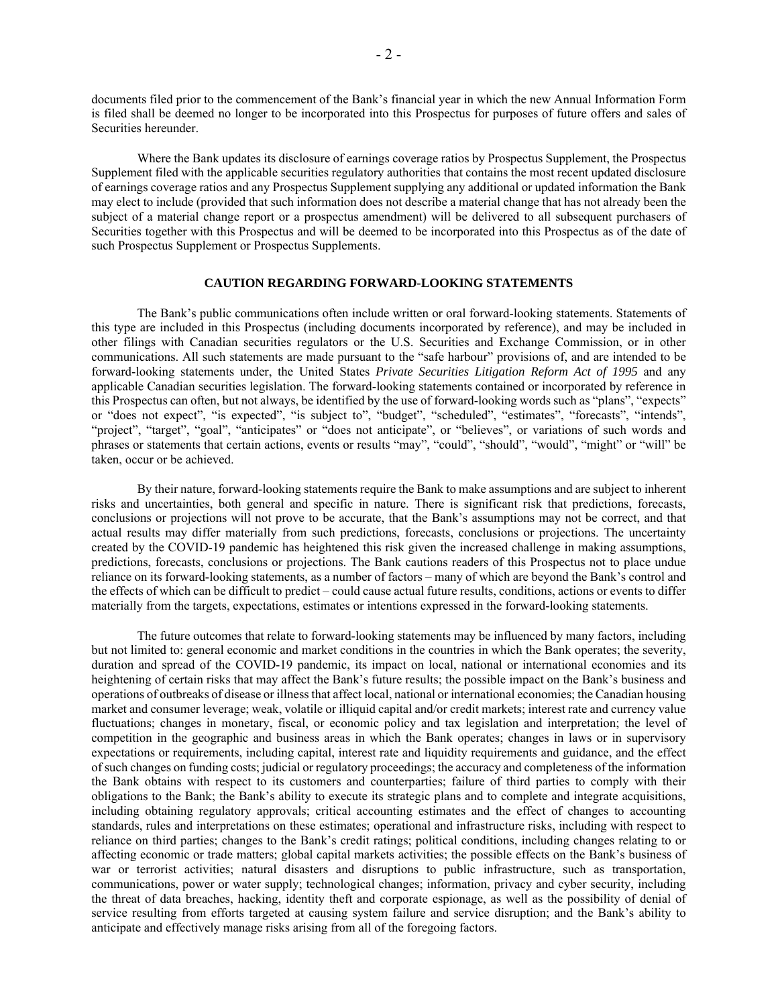documents filed prior to the commencement of the Bank's financial year in which the new Annual Information Form is filed shall be deemed no longer to be incorporated into this Prospectus for purposes of future offers and sales of Securities hereunder.

Where the Bank updates its disclosure of earnings coverage ratios by Prospectus Supplement, the Prospectus Supplement filed with the applicable securities regulatory authorities that contains the most recent updated disclosure of earnings coverage ratios and any Prospectus Supplement supplying any additional or updated information the Bank may elect to include (provided that such information does not describe a material change that has not already been the subject of a material change report or a prospectus amendment) will be delivered to all subsequent purchasers of Securities together with this Prospectus and will be deemed to be incorporated into this Prospectus as of the date of such Prospectus Supplement or Prospectus Supplements.

## **CAUTION REGARDING FORWARD-LOOKING STATEMENTS**

The Bank's public communications often include written or oral forward-looking statements. Statements of this type are included in this Prospectus (including documents incorporated by reference), and may be included in other filings with Canadian securities regulators or the U.S. Securities and Exchange Commission, or in other communications. All such statements are made pursuant to the "safe harbour" provisions of, and are intended to be forward-looking statements under, the United States *Private Securities Litigation Reform Act of 1995* and any applicable Canadian securities legislation. The forward-looking statements contained or incorporated by reference in this Prospectus can often, but not always, be identified by the use of forward-looking words such as "plans", "expects" or "does not expect", "is expected", "is subject to", "budget", "scheduled", "estimates", "forecasts", "intends", "project", "target", "goal", "anticipates" or "does not anticipate", or "believes", or variations of such words and phrases or statements that certain actions, events or results "may", "could", "should", "would", "might" or "will" be taken, occur or be achieved.

By their nature, forward-looking statements require the Bank to make assumptions and are subject to inherent risks and uncertainties, both general and specific in nature. There is significant risk that predictions, forecasts, conclusions or projections will not prove to be accurate, that the Bank's assumptions may not be correct, and that actual results may differ materially from such predictions, forecasts, conclusions or projections. The uncertainty created by the COVID-19 pandemic has heightened this risk given the increased challenge in making assumptions, predictions, forecasts, conclusions or projections. The Bank cautions readers of this Prospectus not to place undue reliance on its forward-looking statements, as a number of factors – many of which are beyond the Bank's control and the effects of which can be difficult to predict – could cause actual future results, conditions, actions or events to differ materially from the targets, expectations, estimates or intentions expressed in the forward-looking statements.

The future outcomes that relate to forward-looking statements may be influenced by many factors, including but not limited to: general economic and market conditions in the countries in which the Bank operates; the severity, duration and spread of the COVID-19 pandemic, its impact on local, national or international economies and its heightening of certain risks that may affect the Bank's future results; the possible impact on the Bank's business and operations of outbreaks of disease or illness that affect local, national or international economies; the Canadian housing market and consumer leverage; weak, volatile or illiquid capital and/or credit markets; interest rate and currency value fluctuations; changes in monetary, fiscal, or economic policy and tax legislation and interpretation; the level of competition in the geographic and business areas in which the Bank operates; changes in laws or in supervisory expectations or requirements, including capital, interest rate and liquidity requirements and guidance, and the effect of such changes on funding costs; judicial or regulatory proceedings; the accuracy and completeness of the information the Bank obtains with respect to its customers and counterparties; failure of third parties to comply with their obligations to the Bank; the Bank's ability to execute its strategic plans and to complete and integrate acquisitions, including obtaining regulatory approvals; critical accounting estimates and the effect of changes to accounting standards, rules and interpretations on these estimates; operational and infrastructure risks, including with respect to reliance on third parties; changes to the Bank's credit ratings; political conditions, including changes relating to or affecting economic or trade matters; global capital markets activities; the possible effects on the Bank's business of war or terrorist activities; natural disasters and disruptions to public infrastructure, such as transportation, communications, power or water supply; technological changes; information, privacy and cyber security, including the threat of data breaches, hacking, identity theft and corporate espionage, as well as the possibility of denial of service resulting from efforts targeted at causing system failure and service disruption; and the Bank's ability to anticipate and effectively manage risks arising from all of the foregoing factors.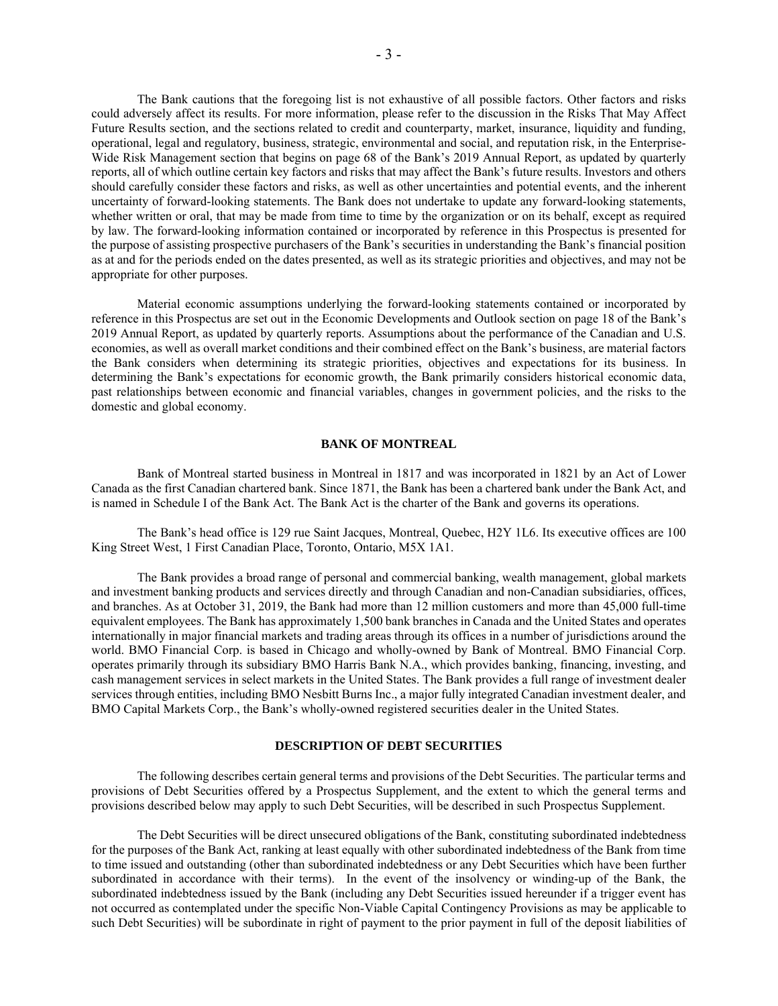The Bank cautions that the foregoing list is not exhaustive of all possible factors. Other factors and risks could adversely affect its results. For more information, please refer to the discussion in the Risks That May Affect Future Results section, and the sections related to credit and counterparty, market, insurance, liquidity and funding, operational, legal and regulatory, business, strategic, environmental and social, and reputation risk, in the Enterprise-Wide Risk Management section that begins on page 68 of the Bank's 2019 Annual Report, as updated by quarterly reports, all of which outline certain key factors and risks that may affect the Bank's future results. Investors and others should carefully consider these factors and risks, as well as other uncertainties and potential events, and the inherent uncertainty of forward-looking statements. The Bank does not undertake to update any forward-looking statements, whether written or oral, that may be made from time to time by the organization or on its behalf, except as required by law. The forward-looking information contained or incorporated by reference in this Prospectus is presented for the purpose of assisting prospective purchasers of the Bank's securities in understanding the Bank's financial position as at and for the periods ended on the dates presented, as well as its strategic priorities and objectives, and may not be appropriate for other purposes.

Material economic assumptions underlying the forward-looking statements contained or incorporated by reference in this Prospectus are set out in the Economic Developments and Outlook section on page 18 of the Bank's 2019 Annual Report, as updated by quarterly reports. Assumptions about the performance of the Canadian and U.S. economies, as well as overall market conditions and their combined effect on the Bank's business, are material factors the Bank considers when determining its strategic priorities, objectives and expectations for its business. In determining the Bank's expectations for economic growth, the Bank primarily considers historical economic data, past relationships between economic and financial variables, changes in government policies, and the risks to the domestic and global economy.

#### **BANK OF MONTREAL**

Bank of Montreal started business in Montreal in 1817 and was incorporated in 1821 by an Act of Lower Canada as the first Canadian chartered bank. Since 1871, the Bank has been a chartered bank under the Bank Act, and is named in Schedule I of the Bank Act. The Bank Act is the charter of the Bank and governs its operations.

The Bank's head office is 129 rue Saint Jacques, Montreal, Quebec, H2Y 1L6. Its executive offices are 100 King Street West, 1 First Canadian Place, Toronto, Ontario, M5X 1A1.

The Bank provides a broad range of personal and commercial banking, wealth management, global markets and investment banking products and services directly and through Canadian and non-Canadian subsidiaries, offices, and branches. As at October 31, 2019, the Bank had more than 12 million customers and more than 45,000 full-time equivalent employees. The Bank has approximately 1,500 bank branches in Canada and the United States and operates internationally in major financial markets and trading areas through its offices in a number of jurisdictions around the world. BMO Financial Corp. is based in Chicago and wholly-owned by Bank of Montreal. BMO Financial Corp. operates primarily through its subsidiary BMO Harris Bank N.A., which provides banking, financing, investing, and cash management services in select markets in the United States. The Bank provides a full range of investment dealer services through entities, including BMO Nesbitt Burns Inc., a major fully integrated Canadian investment dealer, and BMO Capital Markets Corp., the Bank's wholly-owned registered securities dealer in the United States.

#### **DESCRIPTION OF DEBT SECURITIES**

The following describes certain general terms and provisions of the Debt Securities. The particular terms and provisions of Debt Securities offered by a Prospectus Supplement, and the extent to which the general terms and provisions described below may apply to such Debt Securities, will be described in such Prospectus Supplement.

The Debt Securities will be direct unsecured obligations of the Bank, constituting subordinated indebtedness for the purposes of the Bank Act, ranking at least equally with other subordinated indebtedness of the Bank from time to time issued and outstanding (other than subordinated indebtedness or any Debt Securities which have been further subordinated in accordance with their terms). In the event of the insolvency or winding-up of the Bank, the subordinated indebtedness issued by the Bank (including any Debt Securities issued hereunder if a trigger event has not occurred as contemplated under the specific Non-Viable Capital Contingency Provisions as may be applicable to such Debt Securities) will be subordinate in right of payment to the prior payment in full of the deposit liabilities of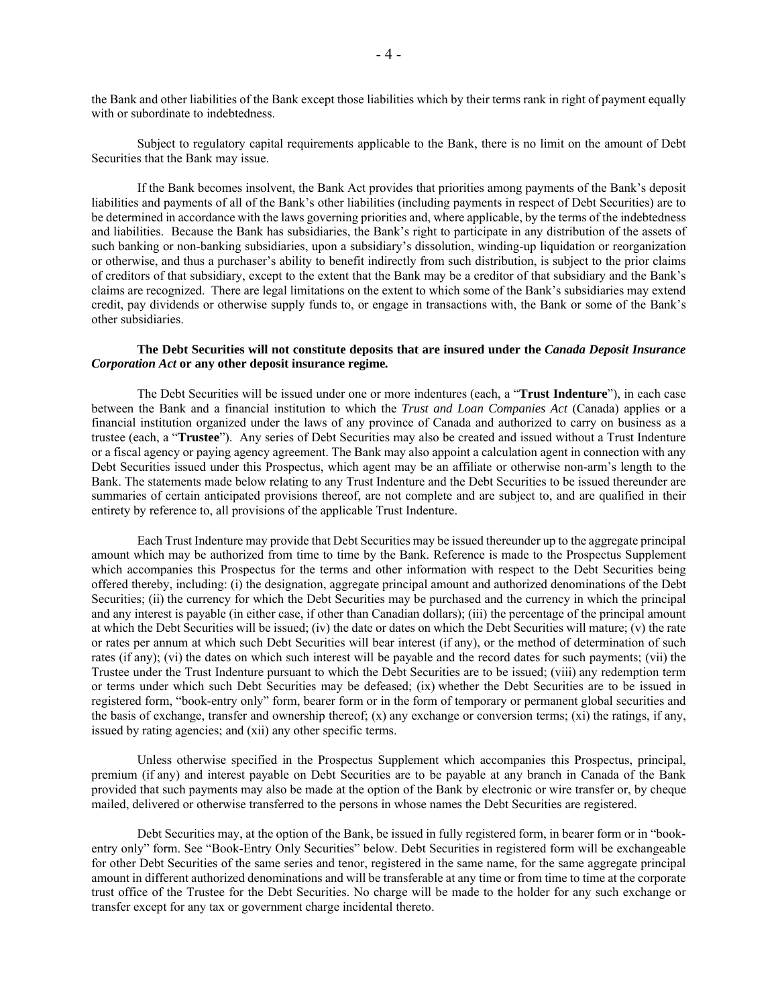the Bank and other liabilities of the Bank except those liabilities which by their terms rank in right of payment equally with or subordinate to indebtedness.

Subject to regulatory capital requirements applicable to the Bank, there is no limit on the amount of Debt Securities that the Bank may issue.

If the Bank becomes insolvent, the Bank Act provides that priorities among payments of the Bank's deposit liabilities and payments of all of the Bank's other liabilities (including payments in respect of Debt Securities) are to be determined in accordance with the laws governing priorities and, where applicable, by the terms of the indebtedness and liabilities. Because the Bank has subsidiaries, the Bank's right to participate in any distribution of the assets of such banking or non-banking subsidiaries, upon a subsidiary's dissolution, winding-up liquidation or reorganization or otherwise, and thus a purchaser's ability to benefit indirectly from such distribution, is subject to the prior claims of creditors of that subsidiary, except to the extent that the Bank may be a creditor of that subsidiary and the Bank's claims are recognized. There are legal limitations on the extent to which some of the Bank's subsidiaries may extend credit, pay dividends or otherwise supply funds to, or engage in transactions with, the Bank or some of the Bank's other subsidiaries.

## **The Debt Securities will not constitute deposits that are insured under the** *Canada Deposit Insurance Corporation Act* **or any other deposit insurance regime***.*

The Debt Securities will be issued under one or more indentures (each, a "**Trust Indenture**"), in each case between the Bank and a financial institution to which the *Trust and Loan Companies Act* (Canada) applies or a financial institution organized under the laws of any province of Canada and authorized to carry on business as a trustee (each, a "**Trustee**"). Any series of Debt Securities may also be created and issued without a Trust Indenture or a fiscal agency or paying agency agreement. The Bank may also appoint a calculation agent in connection with any Debt Securities issued under this Prospectus, which agent may be an affiliate or otherwise non-arm's length to the Bank. The statements made below relating to any Trust Indenture and the Debt Securities to be issued thereunder are summaries of certain anticipated provisions thereof, are not complete and are subject to, and are qualified in their entirety by reference to, all provisions of the applicable Trust Indenture.

Each Trust Indenture may provide that Debt Securities may be issued thereunder up to the aggregate principal amount which may be authorized from time to time by the Bank. Reference is made to the Prospectus Supplement which accompanies this Prospectus for the terms and other information with respect to the Debt Securities being offered thereby, including: (i) the designation, aggregate principal amount and authorized denominations of the Debt Securities; (ii) the currency for which the Debt Securities may be purchased and the currency in which the principal and any interest is payable (in either case, if other than Canadian dollars); (iii) the percentage of the principal amount at which the Debt Securities will be issued; (iv) the date or dates on which the Debt Securities will mature; (v) the rate or rates per annum at which such Debt Securities will bear interest (if any), or the method of determination of such rates (if any); (vi) the dates on which such interest will be payable and the record dates for such payments; (vii) the Trustee under the Trust Indenture pursuant to which the Debt Securities are to be issued; (viii) any redemption term or terms under which such Debt Securities may be defeased; (ix) whether the Debt Securities are to be issued in registered form, "book-entry only" form, bearer form or in the form of temporary or permanent global securities and the basis of exchange, transfer and ownership thereof;  $(x)$  any exchange or conversion terms;  $(xi)$  the ratings, if any, issued by rating agencies; and (xii) any other specific terms.

Unless otherwise specified in the Prospectus Supplement which accompanies this Prospectus, principal, premium (if any) and interest payable on Debt Securities are to be payable at any branch in Canada of the Bank provided that such payments may also be made at the option of the Bank by electronic or wire transfer or, by cheque mailed, delivered or otherwise transferred to the persons in whose names the Debt Securities are registered.

Debt Securities may, at the option of the Bank, be issued in fully registered form, in bearer form or in "bookentry only" form. See "Book-Entry Only Securities" below. Debt Securities in registered form will be exchangeable for other Debt Securities of the same series and tenor, registered in the same name, for the same aggregate principal amount in different authorized denominations and will be transferable at any time or from time to time at the corporate trust office of the Trustee for the Debt Securities. No charge will be made to the holder for any such exchange or transfer except for any tax or government charge incidental thereto.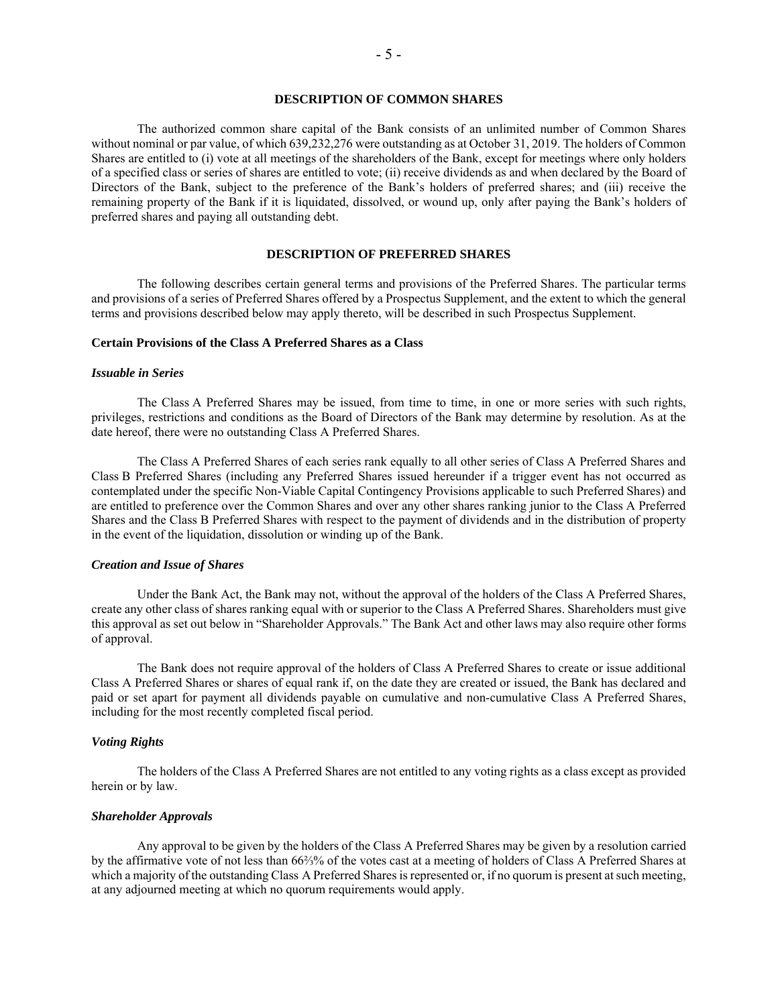## **DESCRIPTION OF COMMON SHARES**

The authorized common share capital of the Bank consists of an unlimited number of Common Shares without nominal or par value, of which 639,232,276 were outstanding as at October 31, 2019. The holders of Common Shares are entitled to (i) vote at all meetings of the shareholders of the Bank, except for meetings where only holders of a specified class or series of shares are entitled to vote; (ii) receive dividends as and when declared by the Board of Directors of the Bank, subject to the preference of the Bank's holders of preferred shares; and (iii) receive the remaining property of the Bank if it is liquidated, dissolved, or wound up, only after paying the Bank's holders of preferred shares and paying all outstanding debt.

#### **DESCRIPTION OF PREFERRED SHARES**

The following describes certain general terms and provisions of the Preferred Shares. The particular terms and provisions of a series of Preferred Shares offered by a Prospectus Supplement, and the extent to which the general terms and provisions described below may apply thereto, will be described in such Prospectus Supplement.

## **Certain Provisions of the Class A Preferred Shares as a Class**

#### *Issuable in Series*

The Class A Preferred Shares may be issued, from time to time, in one or more series with such rights, privileges, restrictions and conditions as the Board of Directors of the Bank may determine by resolution. As at the date hereof, there were no outstanding Class A Preferred Shares.

The Class A Preferred Shares of each series rank equally to all other series of Class A Preferred Shares and Class B Preferred Shares (including any Preferred Shares issued hereunder if a trigger event has not occurred as contemplated under the specific Non-Viable Capital Contingency Provisions applicable to such Preferred Shares) and are entitled to preference over the Common Shares and over any other shares ranking junior to the Class A Preferred Shares and the Class B Preferred Shares with respect to the payment of dividends and in the distribution of property in the event of the liquidation, dissolution or winding up of the Bank.

#### *Creation and Issue of Shares*

Under the Bank Act, the Bank may not, without the approval of the holders of the Class A Preferred Shares, create any other class of shares ranking equal with or superior to the Class A Preferred Shares. Shareholders must give this approval as set out below in "Shareholder Approvals." The Bank Act and other laws may also require other forms of approval.

The Bank does not require approval of the holders of Class A Preferred Shares to create or issue additional Class A Preferred Shares or shares of equal rank if, on the date they are created or issued, the Bank has declared and paid or set apart for payment all dividends payable on cumulative and non-cumulative Class A Preferred Shares, including for the most recently completed fiscal period.

## *Voting Rights*

The holders of the Class A Preferred Shares are not entitled to any voting rights as a class except as provided herein or by law.

## *Shareholder Approvals*

Any approval to be given by the holders of the Class A Preferred Shares may be given by a resolution carried by the affirmative vote of not less than 66⅔% of the votes cast at a meeting of holders of Class A Preferred Shares at which a majority of the outstanding Class A Preferred Shares is represented or, if no quorum is present at such meeting, at any adjourned meeting at which no quorum requirements would apply.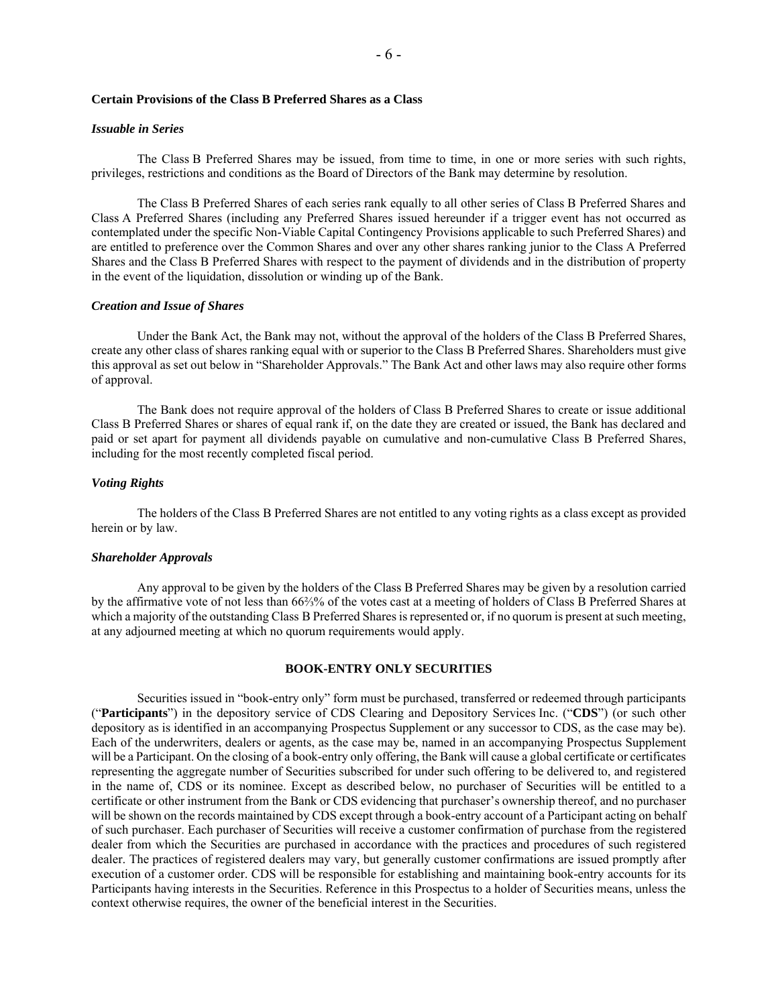## **Certain Provisions of the Class B Preferred Shares as a Class**

#### *Issuable in Series*

The Class B Preferred Shares may be issued, from time to time, in one or more series with such rights, privileges, restrictions and conditions as the Board of Directors of the Bank may determine by resolution.

The Class B Preferred Shares of each series rank equally to all other series of Class B Preferred Shares and Class A Preferred Shares (including any Preferred Shares issued hereunder if a trigger event has not occurred as contemplated under the specific Non-Viable Capital Contingency Provisions applicable to such Preferred Shares) and are entitled to preference over the Common Shares and over any other shares ranking junior to the Class A Preferred Shares and the Class B Preferred Shares with respect to the payment of dividends and in the distribution of property in the event of the liquidation, dissolution or winding up of the Bank.

#### *Creation and Issue of Shares*

Under the Bank Act, the Bank may not, without the approval of the holders of the Class B Preferred Shares, create any other class of shares ranking equal with or superior to the Class B Preferred Shares. Shareholders must give this approval as set out below in "Shareholder Approvals." The Bank Act and other laws may also require other forms of approval.

The Bank does not require approval of the holders of Class B Preferred Shares to create or issue additional Class B Preferred Shares or shares of equal rank if, on the date they are created or issued, the Bank has declared and paid or set apart for payment all dividends payable on cumulative and non-cumulative Class B Preferred Shares, including for the most recently completed fiscal period.

## *Voting Rights*

The holders of the Class B Preferred Shares are not entitled to any voting rights as a class except as provided herein or by law.

#### *Shareholder Approvals*

Any approval to be given by the holders of the Class B Preferred Shares may be given by a resolution carried by the affirmative vote of not less than 66⅔% of the votes cast at a meeting of holders of Class B Preferred Shares at which a majority of the outstanding Class B Preferred Shares is represented or, if no quorum is present at such meeting. at any adjourned meeting at which no quorum requirements would apply.

## **BOOK-ENTRY ONLY SECURITIES**

Securities issued in "book-entry only" form must be purchased, transferred or redeemed through participants ("**Participants**") in the depository service of CDS Clearing and Depository Services Inc. ("**CDS**") (or such other depository as is identified in an accompanying Prospectus Supplement or any successor to CDS, as the case may be). Each of the underwriters, dealers or agents, as the case may be, named in an accompanying Prospectus Supplement will be a Participant. On the closing of a book-entry only offering, the Bank will cause a global certificate or certificates representing the aggregate number of Securities subscribed for under such offering to be delivered to, and registered in the name of, CDS or its nominee. Except as described below, no purchaser of Securities will be entitled to a certificate or other instrument from the Bank or CDS evidencing that purchaser's ownership thereof, and no purchaser will be shown on the records maintained by CDS except through a book-entry account of a Participant acting on behalf of such purchaser. Each purchaser of Securities will receive a customer confirmation of purchase from the registered dealer from which the Securities are purchased in accordance with the practices and procedures of such registered dealer. The practices of registered dealers may vary, but generally customer confirmations are issued promptly after execution of a customer order. CDS will be responsible for establishing and maintaining book-entry accounts for its Participants having interests in the Securities. Reference in this Prospectus to a holder of Securities means, unless the context otherwise requires, the owner of the beneficial interest in the Securities.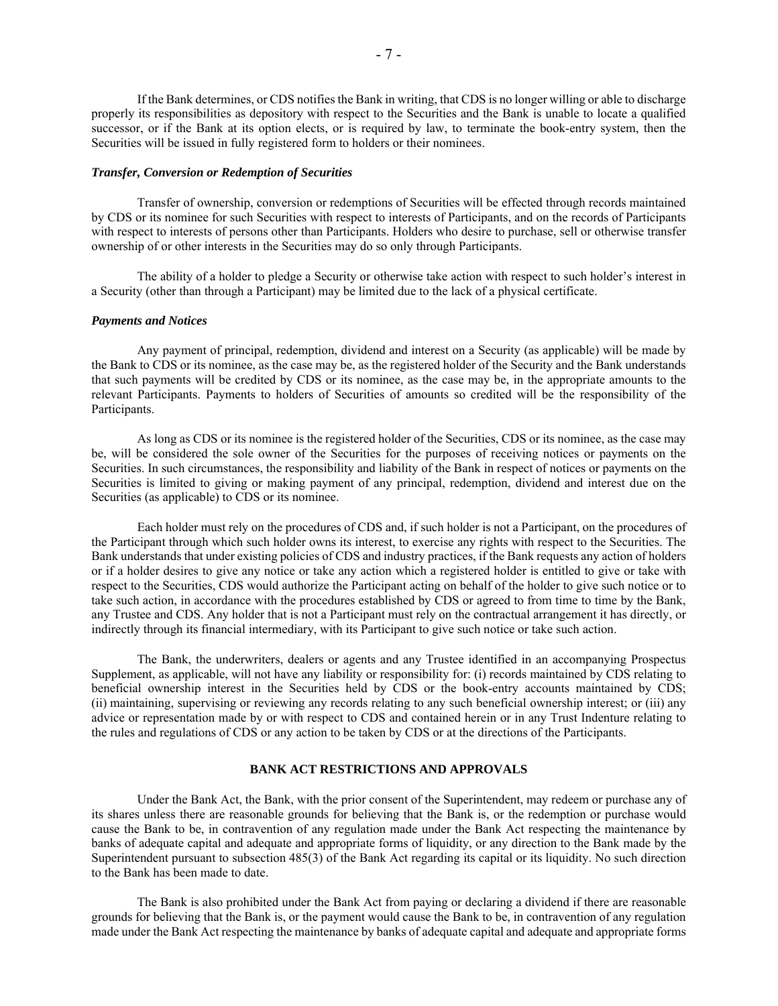If the Bank determines, or CDS notifies the Bank in writing, that CDS is no longer willing or able to discharge properly its responsibilities as depository with respect to the Securities and the Bank is unable to locate a qualified successor, or if the Bank at its option elects, or is required by law, to terminate the book-entry system, then the Securities will be issued in fully registered form to holders or their nominees.

#### *Transfer, Conversion or Redemption of Securities*

Transfer of ownership, conversion or redemptions of Securities will be effected through records maintained by CDS or its nominee for such Securities with respect to interests of Participants, and on the records of Participants with respect to interests of persons other than Participants. Holders who desire to purchase, sell or otherwise transfer ownership of or other interests in the Securities may do so only through Participants.

The ability of a holder to pledge a Security or otherwise take action with respect to such holder's interest in a Security (other than through a Participant) may be limited due to the lack of a physical certificate.

#### *Payments and Notices*

Any payment of principal, redemption, dividend and interest on a Security (as applicable) will be made by the Bank to CDS or its nominee, as the case may be, as the registered holder of the Security and the Bank understands that such payments will be credited by CDS or its nominee, as the case may be, in the appropriate amounts to the relevant Participants. Payments to holders of Securities of amounts so credited will be the responsibility of the Participants.

As long as CDS or its nominee is the registered holder of the Securities, CDS or its nominee, as the case may be, will be considered the sole owner of the Securities for the purposes of receiving notices or payments on the Securities. In such circumstances, the responsibility and liability of the Bank in respect of notices or payments on the Securities is limited to giving or making payment of any principal, redemption, dividend and interest due on the Securities (as applicable) to CDS or its nominee.

Each holder must rely on the procedures of CDS and, if such holder is not a Participant, on the procedures of the Participant through which such holder owns its interest, to exercise any rights with respect to the Securities. The Bank understands that under existing policies of CDS and industry practices, if the Bank requests any action of holders or if a holder desires to give any notice or take any action which a registered holder is entitled to give or take with respect to the Securities, CDS would authorize the Participant acting on behalf of the holder to give such notice or to take such action, in accordance with the procedures established by CDS or agreed to from time to time by the Bank, any Trustee and CDS. Any holder that is not a Participant must rely on the contractual arrangement it has directly, or indirectly through its financial intermediary, with its Participant to give such notice or take such action.

The Bank, the underwriters, dealers or agents and any Trustee identified in an accompanying Prospectus Supplement, as applicable, will not have any liability or responsibility for: (i) records maintained by CDS relating to beneficial ownership interest in the Securities held by CDS or the book-entry accounts maintained by CDS; (ii) maintaining, supervising or reviewing any records relating to any such beneficial ownership interest; or (iii) any advice or representation made by or with respect to CDS and contained herein or in any Trust Indenture relating to the rules and regulations of CDS or any action to be taken by CDS or at the directions of the Participants.

## **BANK ACT RESTRICTIONS AND APPROVALS**

Under the Bank Act, the Bank, with the prior consent of the Superintendent, may redeem or purchase any of its shares unless there are reasonable grounds for believing that the Bank is, or the redemption or purchase would cause the Bank to be, in contravention of any regulation made under the Bank Act respecting the maintenance by banks of adequate capital and adequate and appropriate forms of liquidity, or any direction to the Bank made by the Superintendent pursuant to subsection 485(3) of the Bank Act regarding its capital or its liquidity. No such direction to the Bank has been made to date.

The Bank is also prohibited under the Bank Act from paying or declaring a dividend if there are reasonable grounds for believing that the Bank is, or the payment would cause the Bank to be, in contravention of any regulation made under the Bank Act respecting the maintenance by banks of adequate capital and adequate and appropriate forms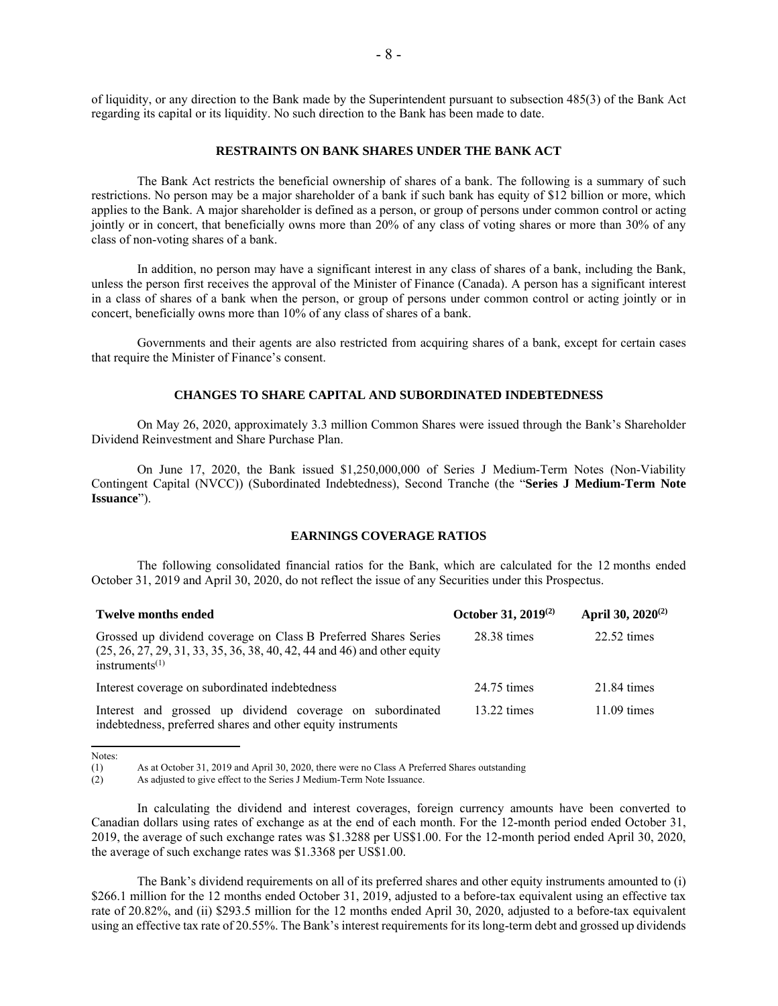of liquidity, or any direction to the Bank made by the Superintendent pursuant to subsection 485(3) of the Bank Act regarding its capital or its liquidity. No such direction to the Bank has been made to date.

#### **RESTRAINTS ON BANK SHARES UNDER THE BANK ACT**

The Bank Act restricts the beneficial ownership of shares of a bank. The following is a summary of such restrictions. No person may be a major shareholder of a bank if such bank has equity of \$12 billion or more, which applies to the Bank. A major shareholder is defined as a person, or group of persons under common control or acting jointly or in concert, that beneficially owns more than 20% of any class of voting shares or more than 30% of any class of non-voting shares of a bank.

In addition, no person may have a significant interest in any class of shares of a bank, including the Bank, unless the person first receives the approval of the Minister of Finance (Canada). A person has a significant interest in a class of shares of a bank when the person, or group of persons under common control or acting jointly or in concert, beneficially owns more than 10% of any class of shares of a bank.

Governments and their agents are also restricted from acquiring shares of a bank, except for certain cases that require the Minister of Finance's consent.

#### **CHANGES TO SHARE CAPITAL AND SUBORDINATED INDEBTEDNESS**

On May 26, 2020, approximately 3.3 million Common Shares were issued through the Bank's Shareholder Dividend Reinvestment and Share Purchase Plan.

On June 17, 2020, the Bank issued \$1,250,000,000 of Series J Medium-Term Notes (Non-Viability Contingent Capital (NVCC)) (Subordinated Indebtedness), Second Tranche (the "**Series J Medium-Term Note Issuance**").

#### **EARNINGS COVERAGE RATIOS**

The following consolidated financial ratios for the Bank, which are calculated for the 12 months ended October 31, 2019 and April 30, 2020, do not reflect the issue of any Securities under this Prospectus.

| <b>Twelve months ended</b>                                                                                                                                          | October 31, 2019 <sup>(2)</sup> | April 30, 2020 <sup>(2)</sup> |
|---------------------------------------------------------------------------------------------------------------------------------------------------------------------|---------------------------------|-------------------------------|
| Grossed up dividend coverage on Class B Preferred Shares Series<br>$(25, 26, 27, 29, 31, 33, 35, 36, 38, 40, 42, 44, and 46)$ and other equity<br>instruments $(1)$ | 28.38 times                     | $22.52 \text{ times}$         |
| Interest coverage on subordinated indebtedness                                                                                                                      | 24.75 times                     | $21.84 \times$                |
| Interest and grossed up dividend coverage on subordinated<br>indebtedness, preferred shares and other equity instruments                                            | $13.22 \text{ times}$           | $11.09 \text{ times}$         |

Notes:

The Bank's dividend requirements on all of its preferred shares and other equity instruments amounted to (i) \$266.1 million for the 12 months ended October 31, 2019, adjusted to a before-tax equivalent using an effective tax rate of 20.82%, and (ii) \$293.5 million for the 12 months ended April 30, 2020, adjusted to a before-tax equivalent using an effective tax rate of 20.55%. The Bank's interest requirements for its long-term debt and grossed up dividends

<sup>(1)</sup> As at October 31, 2019 and April 30, 2020, there were no Class A Preferred Shares outstanding

<sup>(2)</sup> As adjusted to give effect to the Series J Medium-Term Note Issuance.

In calculating the dividend and interest coverages, foreign currency amounts have been converted to Canadian dollars using rates of exchange as at the end of each month. For the 12-month period ended October 31, 2019, the average of such exchange rates was \$1.3288 per US\$1.00. For the 12-month period ended April 30, 2020, the average of such exchange rates was \$1.3368 per US\$1.00.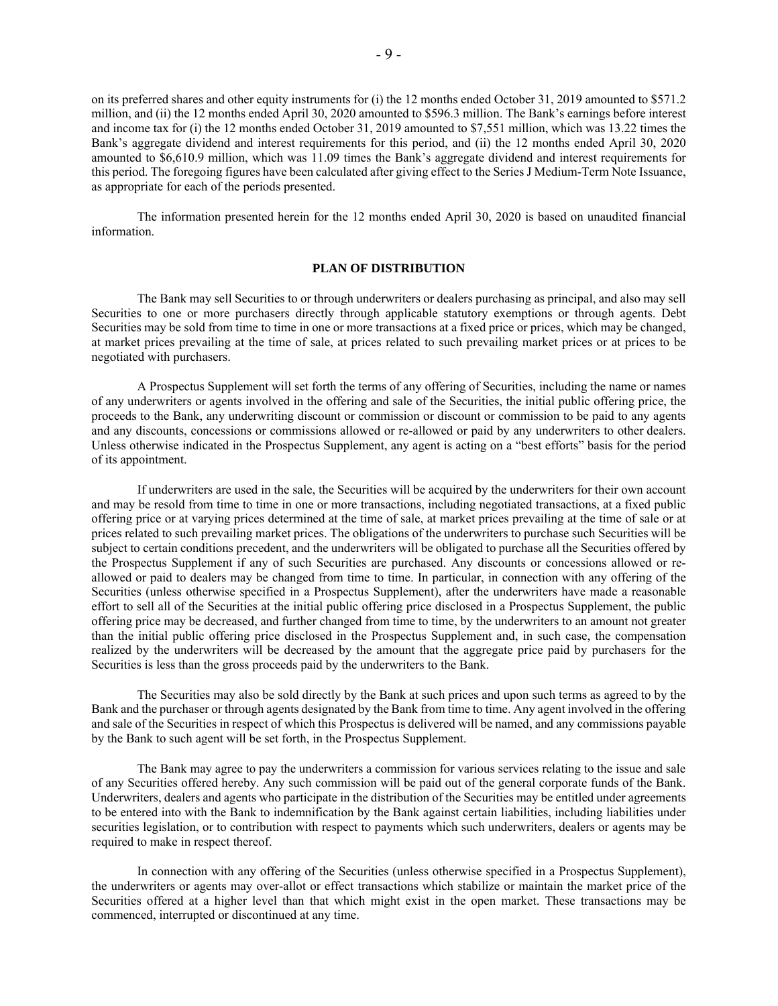on its preferred shares and other equity instruments for (i) the 12 months ended October 31, 2019 amounted to \$571.2 million, and (ii) the 12 months ended April 30, 2020 amounted to \$596.3 million. The Bank's earnings before interest and income tax for (i) the 12 months ended October 31, 2019 amounted to \$7,551 million, which was 13.22 times the Bank's aggregate dividend and interest requirements for this period, and (ii) the 12 months ended April 30, 2020 amounted to \$6,610.9 million, which was 11.09 times the Bank's aggregate dividend and interest requirements for this period. The foregoing figures have been calculated after giving effect to the Series J Medium-Term Note Issuance, as appropriate for each of the periods presented.

The information presented herein for the 12 months ended April 30, 2020 is based on unaudited financial information.

#### **PLAN OF DISTRIBUTION**

The Bank may sell Securities to or through underwriters or dealers purchasing as principal, and also may sell Securities to one or more purchasers directly through applicable statutory exemptions or through agents. Debt Securities may be sold from time to time in one or more transactions at a fixed price or prices, which may be changed, at market prices prevailing at the time of sale, at prices related to such prevailing market prices or at prices to be negotiated with purchasers.

A Prospectus Supplement will set forth the terms of any offering of Securities, including the name or names of any underwriters or agents involved in the offering and sale of the Securities, the initial public offering price, the proceeds to the Bank, any underwriting discount or commission or discount or commission to be paid to any agents and any discounts, concessions or commissions allowed or re-allowed or paid by any underwriters to other dealers. Unless otherwise indicated in the Prospectus Supplement, any agent is acting on a "best efforts" basis for the period of its appointment.

If underwriters are used in the sale, the Securities will be acquired by the underwriters for their own account and may be resold from time to time in one or more transactions, including negotiated transactions, at a fixed public offering price or at varying prices determined at the time of sale, at market prices prevailing at the time of sale or at prices related to such prevailing market prices. The obligations of the underwriters to purchase such Securities will be subject to certain conditions precedent, and the underwriters will be obligated to purchase all the Securities offered by the Prospectus Supplement if any of such Securities are purchased. Any discounts or concessions allowed or reallowed or paid to dealers may be changed from time to time. In particular, in connection with any offering of the Securities (unless otherwise specified in a Prospectus Supplement), after the underwriters have made a reasonable effort to sell all of the Securities at the initial public offering price disclosed in a Prospectus Supplement, the public offering price may be decreased, and further changed from time to time, by the underwriters to an amount not greater than the initial public offering price disclosed in the Prospectus Supplement and, in such case, the compensation realized by the underwriters will be decreased by the amount that the aggregate price paid by purchasers for the Securities is less than the gross proceeds paid by the underwriters to the Bank.

The Securities may also be sold directly by the Bank at such prices and upon such terms as agreed to by the Bank and the purchaser or through agents designated by the Bank from time to time. Any agent involved in the offering and sale of the Securities in respect of which this Prospectus is delivered will be named, and any commissions payable by the Bank to such agent will be set forth, in the Prospectus Supplement.

The Bank may agree to pay the underwriters a commission for various services relating to the issue and sale of any Securities offered hereby. Any such commission will be paid out of the general corporate funds of the Bank. Underwriters, dealers and agents who participate in the distribution of the Securities may be entitled under agreements to be entered into with the Bank to indemnification by the Bank against certain liabilities, including liabilities under securities legislation, or to contribution with respect to payments which such underwriters, dealers or agents may be required to make in respect thereof.

In connection with any offering of the Securities (unless otherwise specified in a Prospectus Supplement), the underwriters or agents may over-allot or effect transactions which stabilize or maintain the market price of the Securities offered at a higher level than that which might exist in the open market. These transactions may be commenced, interrupted or discontinued at any time.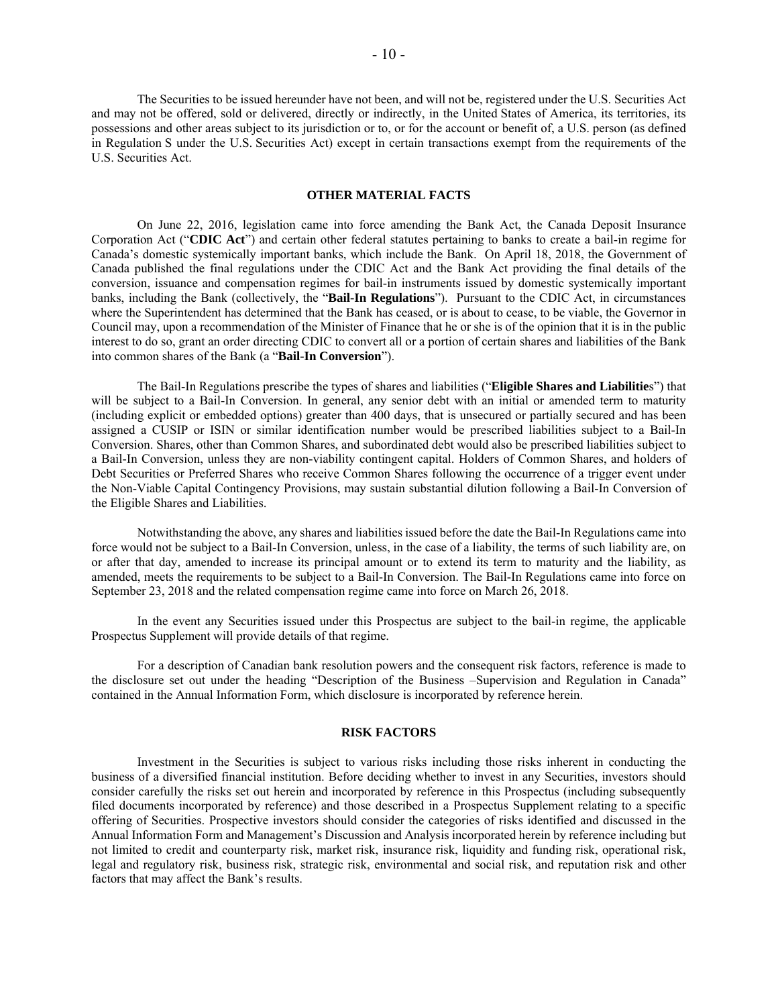The Securities to be issued hereunder have not been, and will not be, registered under the U.S. Securities Act and may not be offered, sold or delivered, directly or indirectly, in the United States of America, its territories, its possessions and other areas subject to its jurisdiction or to, or for the account or benefit of, a U.S. person (as defined in Regulation S under the U.S. Securities Act) except in certain transactions exempt from the requirements of the U.S. Securities Act.

#### **OTHER MATERIAL FACTS**

On June 22, 2016, legislation came into force amending the Bank Act, the Canada Deposit Insurance Corporation Act ("**CDIC Act**") and certain other federal statutes pertaining to banks to create a bail-in regime for Canada's domestic systemically important banks, which include the Bank. On April 18, 2018, the Government of Canada published the final regulations under the CDIC Act and the Bank Act providing the final details of the conversion, issuance and compensation regimes for bail-in instruments issued by domestic systemically important banks, including the Bank (collectively, the "**Bail-In Regulations**"). Pursuant to the CDIC Act, in circumstances where the Superintendent has determined that the Bank has ceased, or is about to cease, to be viable, the Governor in Council may, upon a recommendation of the Minister of Finance that he or she is of the opinion that it is in the public interest to do so, grant an order directing CDIC to convert all or a portion of certain shares and liabilities of the Bank into common shares of the Bank (a "**Bail-In Conversion**").

The Bail-In Regulations prescribe the types of shares and liabilities ("**Eligible Shares and Liabilitie**s") that will be subject to a Bail-In Conversion. In general, any senior debt with an initial or amended term to maturity (including explicit or embedded options) greater than 400 days, that is unsecured or partially secured and has been assigned a CUSIP or ISIN or similar identification number would be prescribed liabilities subject to a Bail-In Conversion. Shares, other than Common Shares, and subordinated debt would also be prescribed liabilities subject to a Bail-In Conversion, unless they are non-viability contingent capital. Holders of Common Shares, and holders of Debt Securities or Preferred Shares who receive Common Shares following the occurrence of a trigger event under the Non-Viable Capital Contingency Provisions, may sustain substantial dilution following a Bail-In Conversion of the Eligible Shares and Liabilities.

Notwithstanding the above, any shares and liabilities issued before the date the Bail-In Regulations came into force would not be subject to a Bail-In Conversion, unless, in the case of a liability, the terms of such liability are, on or after that day, amended to increase its principal amount or to extend its term to maturity and the liability, as amended, meets the requirements to be subject to a Bail-In Conversion. The Bail-In Regulations came into force on September 23, 2018 and the related compensation regime came into force on March 26, 2018.

In the event any Securities issued under this Prospectus are subject to the bail-in regime, the applicable Prospectus Supplement will provide details of that regime.

For a description of Canadian bank resolution powers and the consequent risk factors, reference is made to the disclosure set out under the heading "Description of the Business –Supervision and Regulation in Canada" contained in the Annual Information Form, which disclosure is incorporated by reference herein.

## **RISK FACTORS**

Investment in the Securities is subject to various risks including those risks inherent in conducting the business of a diversified financial institution. Before deciding whether to invest in any Securities, investors should consider carefully the risks set out herein and incorporated by reference in this Prospectus (including subsequently filed documents incorporated by reference) and those described in a Prospectus Supplement relating to a specific offering of Securities. Prospective investors should consider the categories of risks identified and discussed in the Annual Information Form and Management's Discussion and Analysis incorporated herein by reference including but not limited to credit and counterparty risk, market risk, insurance risk, liquidity and funding risk, operational risk, legal and regulatory risk, business risk, strategic risk, environmental and social risk, and reputation risk and other factors that may affect the Bank's results.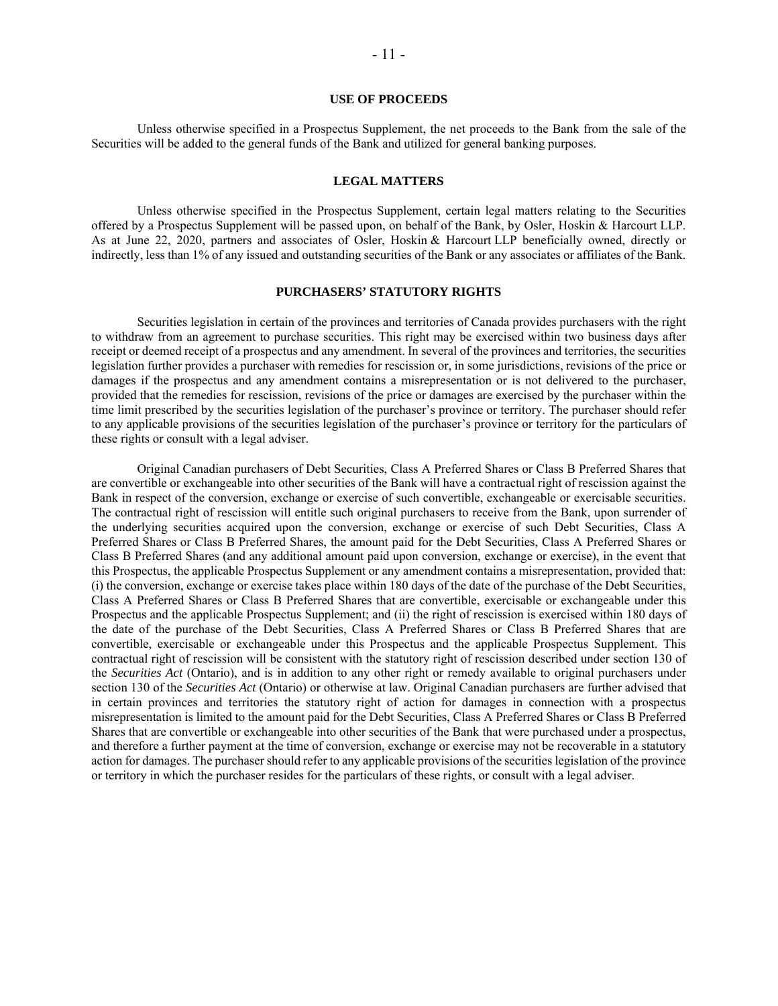## **USE OF PROCEEDS**

Unless otherwise specified in a Prospectus Supplement, the net proceeds to the Bank from the sale of the Securities will be added to the general funds of the Bank and utilized for general banking purposes.

## **LEGAL MATTERS**

Unless otherwise specified in the Prospectus Supplement, certain legal matters relating to the Securities offered by a Prospectus Supplement will be passed upon, on behalf of the Bank, by Osler, Hoskin & Harcourt LLP. As at June 22, 2020, partners and associates of Osler, Hoskin & Harcourt LLP beneficially owned, directly or indirectly, less than 1% of any issued and outstanding securities of the Bank or any associates or affiliates of the Bank.

#### **PURCHASERS' STATUTORY RIGHTS**

Securities legislation in certain of the provinces and territories of Canada provides purchasers with the right to withdraw from an agreement to purchase securities. This right may be exercised within two business days after receipt or deemed receipt of a prospectus and any amendment. In several of the provinces and territories, the securities legislation further provides a purchaser with remedies for rescission or, in some jurisdictions, revisions of the price or damages if the prospectus and any amendment contains a misrepresentation or is not delivered to the purchaser, provided that the remedies for rescission, revisions of the price or damages are exercised by the purchaser within the time limit prescribed by the securities legislation of the purchaser's province or territory. The purchaser should refer to any applicable provisions of the securities legislation of the purchaser's province or territory for the particulars of these rights or consult with a legal adviser.

Original Canadian purchasers of Debt Securities, Class A Preferred Shares or Class B Preferred Shares that are convertible or exchangeable into other securities of the Bank will have a contractual right of rescission against the Bank in respect of the conversion, exchange or exercise of such convertible, exchangeable or exercisable securities. The contractual right of rescission will entitle such original purchasers to receive from the Bank, upon surrender of the underlying securities acquired upon the conversion, exchange or exercise of such Debt Securities, Class A Preferred Shares or Class B Preferred Shares, the amount paid for the Debt Securities, Class A Preferred Shares or Class B Preferred Shares (and any additional amount paid upon conversion, exchange or exercise), in the event that this Prospectus, the applicable Prospectus Supplement or any amendment contains a misrepresentation, provided that: (i) the conversion, exchange or exercise takes place within 180 days of the date of the purchase of the Debt Securities, Class A Preferred Shares or Class B Preferred Shares that are convertible, exercisable or exchangeable under this Prospectus and the applicable Prospectus Supplement; and (ii) the right of rescission is exercised within 180 days of the date of the purchase of the Debt Securities, Class A Preferred Shares or Class B Preferred Shares that are convertible, exercisable or exchangeable under this Prospectus and the applicable Prospectus Supplement. This contractual right of rescission will be consistent with the statutory right of rescission described under section 130 of the *Securities Act* (Ontario), and is in addition to any other right or remedy available to original purchasers under section 130 of the *Securities Act* (Ontario) or otherwise at law. Original Canadian purchasers are further advised that in certain provinces and territories the statutory right of action for damages in connection with a prospectus misrepresentation is limited to the amount paid for the Debt Securities, Class A Preferred Shares or Class B Preferred Shares that are convertible or exchangeable into other securities of the Bank that were purchased under a prospectus, and therefore a further payment at the time of conversion, exchange or exercise may not be recoverable in a statutory action for damages. The purchaser should refer to any applicable provisions of the securities legislation of the province or territory in which the purchaser resides for the particulars of these rights, or consult with a legal adviser.